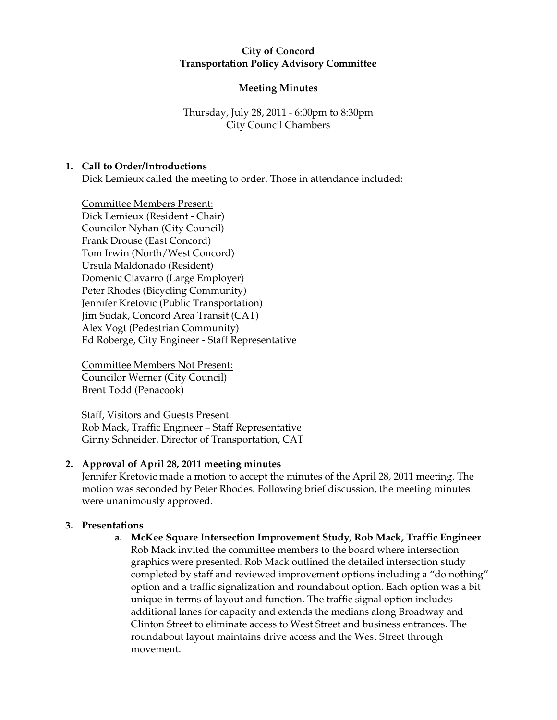#### **City of Concord Transportation Policy Advisory Committee**

## **Meeting Minutes**

Thursday, July 28, 2011 - 6:00pm to 8:30pm City Council Chambers

## **1. Call to Order/Introductions**

Dick Lemieux called the meeting to order. Those in attendance included:

Committee Members Present: Dick Lemieux (Resident - Chair) Councilor Nyhan (City Council) Frank Drouse (East Concord) Tom Irwin (North/West Concord) Ursula Maldonado (Resident) Domenic Ciavarro (Large Employer) Peter Rhodes (Bicycling Community) Jennifer Kretovic (Public Transportation) Jim Sudak, Concord Area Transit (CAT) Alex Vogt (Pedestrian Community) Ed Roberge, City Engineer - Staff Representative

Committee Members Not Present: Councilor Werner (City Council) Brent Todd (Penacook)

Staff, Visitors and Guests Present: Rob Mack, Traffic Engineer – Staff Representative Ginny Schneider, Director of Transportation, CAT

## **2. Approval of April 28, 2011 meeting minutes**

Jennifer Kretovic made a motion to accept the minutes of the April 28, 2011 meeting. The motion was seconded by Peter Rhodes. Following brief discussion, the meeting minutes were unanimously approved.

## **3. Presentations**

**a. McKee Square Intersection Improvement Study, Rob Mack, Traffic Engineer**  Rob Mack invited the committee members to the board where intersection graphics were presented. Rob Mack outlined the detailed intersection study completed by staff and reviewed improvement options including a "do nothing" option and a traffic signalization and roundabout option. Each option was a bit unique in terms of layout and function. The traffic signal option includes additional lanes for capacity and extends the medians along Broadway and Clinton Street to eliminate access to West Street and business entrances. The roundabout layout maintains drive access and the West Street through movement.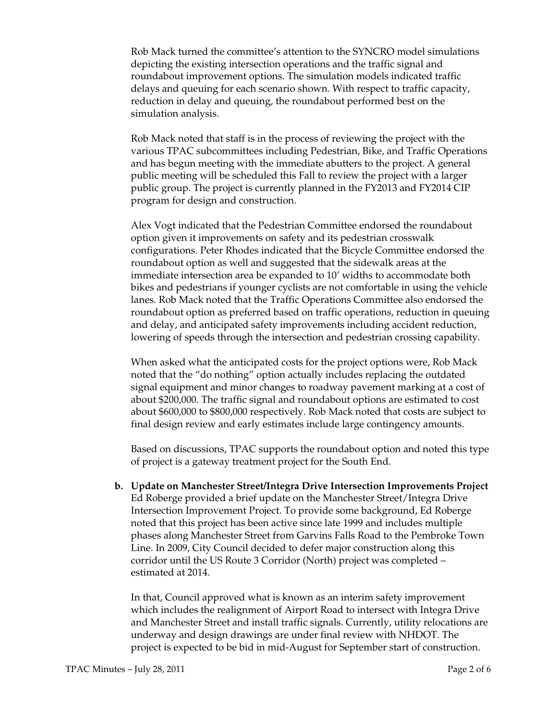Rob Mack turned the committee's attention to the SYNCRO model simulations depicting the existing intersection operations and the traffic signal and roundabout improvement options. The simulation models indicated traffic delays and queuing for each scenario shown. With respect to traffic capacity, reduction in delay and queuing, the roundabout performed best on the simulation analysis.

Rob Mack noted that staff is in the process of reviewing the project with the various TPAC subcommittees including Pedestrian, Bike, and Traffic Operations and has begun meeting with the immediate abutters to the project. A general public meeting will be scheduled this Fall to review the project with a larger public group. The project is currently planned in the FY2013 and FY2014 CIP program for design and construction.

Alex Vogt indicated that the Pedestrian Committee endorsed the roundabout option given it improvements on safety and its pedestrian crosswalk configurations. Peter Rhodes indicated that the Bicycle Committee endorsed the roundabout option as well and suggested that the sidewalk areas at the immediate intersection area be expanded to 10' widths to accommodate both bikes and pedestrians if younger cyclists are not comfortable in using the vehicle lanes. Rob Mack noted that the Traffic Operations Committee also endorsed the roundabout option as preferred based on traffic operations, reduction in queuing and delay, and anticipated safety improvements including accident reduction, lowering of speeds through the intersection and pedestrian crossing capability.

When asked what the anticipated costs for the project options were, Rob Mack noted that the "do nothing" option actually includes replacing the outdated signal equipment and minor changes to roadway pavement marking at a cost of about \$200,000. The traffic signal and roundabout options are estimated to cost about \$600,000 to \$800,000 respectively. Rob Mack noted that costs are subject to final design review and early estimates include large contingency amounts.

Based on discussions, TPAC supports the roundabout option and noted this type of project is a gateway treatment project for the South End.

**b. Update on Manchester Street/Integra Drive Intersection Improvements Project**  Ed Roberge provided a brief update on the Manchester Street/Integra Drive Intersection Improvement Project. To provide some background, Ed Roberge noted that this project has been active since late 1999 and includes multiple phases along Manchester Street from Garvins Falls Road to the Pembroke Town Line. In 2009, City Council decided to defer major construction along this corridor until the US Route 3 Corridor (North) project was completed – estimated at 2014.

In that, Council approved what is known as an interim safety improvement which includes the realignment of Airport Road to intersect with Integra Drive and Manchester Street and install traffic signals. Currently, utility relocations are underway and design drawings are under final review with NHDOT. The project is expected to be bid in mid-August for September start of construction.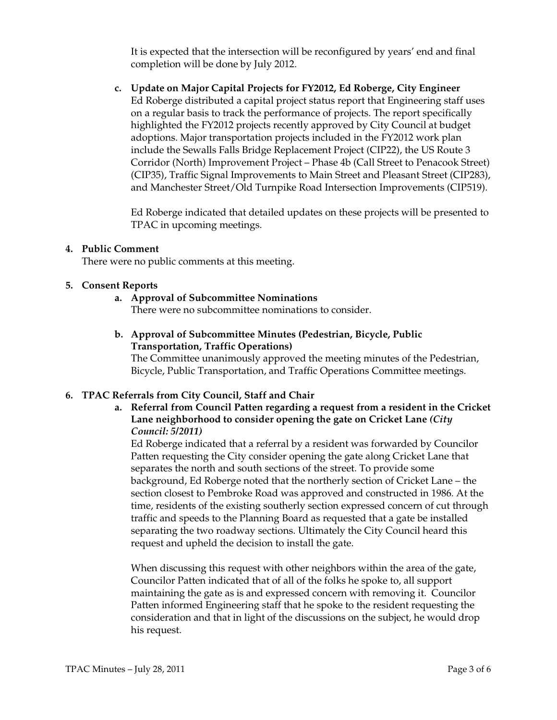It is expected that the intersection will be reconfigured by years' end and final completion will be done by July 2012.

**c. Update on Major Capital Projects for FY2012, Ed Roberge, City Engineer**  Ed Roberge distributed a capital project status report that Engineering staff uses on a regular basis to track the performance of projects. The report specifically highlighted the FY2012 projects recently approved by City Council at budget adoptions. Major transportation projects included in the FY2012 work plan include the Sewalls Falls Bridge Replacement Project (CIP22), the US Route 3 Corridor (North) Improvement Project – Phase 4b (Call Street to Penacook Street) (CIP35), Traffic Signal Improvements to Main Street and Pleasant Street (CIP283), and Manchester Street/Old Turnpike Road Intersection Improvements (CIP519).

Ed Roberge indicated that detailed updates on these projects will be presented to TPAC in upcoming meetings.

#### **4. Public Comment**

There were no public comments at this meeting.

#### **5. Consent Reports**

## **a. Approval of Subcommittee Nominations**

There were no subcommittee nominations to consider.

## **b. Approval of Subcommittee Minutes (Pedestrian, Bicycle, Public Transportation, Traffic Operations)**

The Committee unanimously approved the meeting minutes of the Pedestrian, Bicycle, Public Transportation, and Traffic Operations Committee meetings.

## **6. TPAC Referrals from City Council, Staff and Chair**

**a. Referral from Council Patten regarding a request from a resident in the Cricket Lane neighborhood to consider opening the gate on Cricket Lane** *(City Council: 5/2011)*

Ed Roberge indicated that a referral by a resident was forwarded by Councilor Patten requesting the City consider opening the gate along Cricket Lane that separates the north and south sections of the street. To provide some background, Ed Roberge noted that the northerly section of Cricket Lane – the section closest to Pembroke Road was approved and constructed in 1986. At the time, residents of the existing southerly section expressed concern of cut through traffic and speeds to the Planning Board as requested that a gate be installed separating the two roadway sections. Ultimately the City Council heard this request and upheld the decision to install the gate.

When discussing this request with other neighbors within the area of the gate, Councilor Patten indicated that of all of the folks he spoke to, all support maintaining the gate as is and expressed concern with removing it. Councilor Patten informed Engineering staff that he spoke to the resident requesting the consideration and that in light of the discussions on the subject, he would drop his request.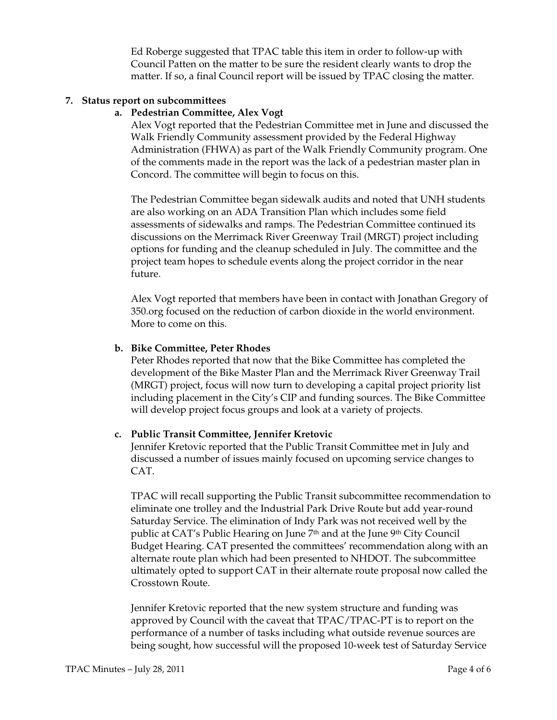Ed Roberge suggested that TPAC table this item in order to follow-up with Council Patten on the matter to be sure the resident clearly wants to drop the matter. If so, a final Council report will be issued by TPAC closing the matter.

#### **7. Status report on subcommittees**

#### **a. Pedestrian Committee, Alex Vogt**

Alex Vogt reported that the Pedestrian Committee met in June and discussed the Walk Friendly Community assessment provided by the Federal Highway Administration (FHWA) as part of the Walk Friendly Community program. One of the comments made in the report was the lack of a pedestrian master plan in Concord. The committee will begin to focus on this.

The Pedestrian Committee began sidewalk audits and noted that UNH students are also working on an ADA Transition Plan which includes some field assessments of sidewalks and ramps. The Pedestrian Committee continued its discussions on the Merrimack River Greenway Trail (MRGT) project including options for funding and the cleanup scheduled in July. The committee and the project team hopes to schedule events along the project corridor in the near future.

Alex Vogt reported that members have been in contact with Jonathan Gregory of 350.org focused on the reduction of carbon dioxide in the world environment. More to come on this.

#### **b. Bike Committee, Peter Rhodes**

Peter Rhodes reported that now that the Bike Committee has completed the development of the Bike Master Plan and the Merrimack River Greenway Trail (MRGT) project, focus will now turn to developing a capital project priority list including placement in the City's CIP and funding sources. The Bike Committee will develop project focus groups and look at a variety of projects.

#### **c. Public Transit Committee, Jennifer Kretovic**

Jennifer Kretovic reported that the Public Transit Committee met in July and discussed a number of issues mainly focused on upcoming service changes to CAT.

TPAC will recall supporting the Public Transit subcommittee recommendation to eliminate one trolley and the Industrial Park Drive Route but add year-round Saturday Service. The elimination of Indy Park was not received well by the public at CAT's Public Hearing on June 7<sup>th</sup> and at the June 9<sup>th</sup> City Council Budget Hearing. CAT presented the committees' recommendation along with an alternate route plan which had been presented to NHDOT. The subcommittee ultimately opted to support CAT in their alternate route proposal now called the Crosstown Route.

Jennifer Kretovic reported that the new system structure and funding was approved by Council with the caveat that TPAC/TPAC-PT is to report on the performance of a number of tasks including what outside revenue sources are being sought, how successful will the proposed 10-week test of Saturday Service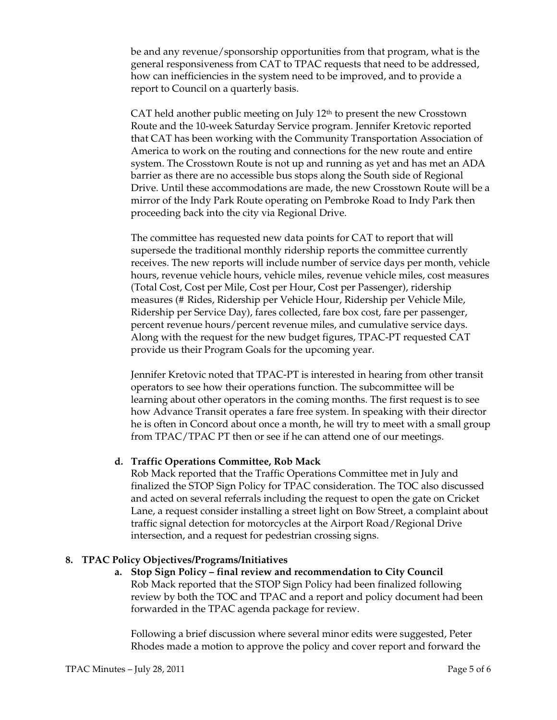be and any revenue/sponsorship opportunities from that program, what is the general responsiveness from CAT to TPAC requests that need to be addressed, how can inefficiencies in the system need to be improved, and to provide a report to Council on a quarterly basis.

CAT held another public meeting on July  $12<sup>th</sup>$  to present the new Crosstown Route and the 10-week Saturday Service program. Jennifer Kretovic reported that CAT has been working with the Community Transportation Association of America to work on the routing and connections for the new route and entire system. The Crosstown Route is not up and running as yet and has met an ADA barrier as there are no accessible bus stops along the South side of Regional Drive. Until these accommodations are made, the new Crosstown Route will be a mirror of the Indy Park Route operating on Pembroke Road to Indy Park then proceeding back into the city via Regional Drive.

The committee has requested new data points for CAT to report that will supersede the traditional monthly ridership reports the committee currently receives. The new reports will include number of service days per month, vehicle hours, revenue vehicle hours, vehicle miles, revenue vehicle miles, cost measures (Total Cost, Cost per Mile, Cost per Hour, Cost per Passenger), ridership measures (# Rides, Ridership per Vehicle Hour, Ridership per Vehicle Mile, Ridership per Service Day), fares collected, fare box cost, fare per passenger, percent revenue hours/percent revenue miles, and cumulative service days. Along with the request for the new budget figures, TPAC-PT requested CAT provide us their Program Goals for the upcoming year.

Jennifer Kretovic noted that TPAC-PT is interested in hearing from other transit operators to see how their operations function. The subcommittee will be learning about other operators in the coming months. The first request is to see how Advance Transit operates a fare free system. In speaking with their director he is often in Concord about once a month, he will try to meet with a small group from TPAC/TPAC PT then or see if he can attend one of our meetings.

#### **d. Traffic Operations Committee, Rob Mack**

Rob Mack reported that the Traffic Operations Committee met in July and finalized the STOP Sign Policy for TPAC consideration. The TOC also discussed and acted on several referrals including the request to open the gate on Cricket Lane, a request consider installing a street light on Bow Street, a complaint about traffic signal detection for motorcycles at the Airport Road/Regional Drive intersection, and a request for pedestrian crossing signs.

#### **8. TPAC Policy Objectives/Programs/Initiatives**

**a. Stop Sign Policy – final review and recommendation to City Council**  Rob Mack reported that the STOP Sign Policy had been finalized following review by both the TOC and TPAC and a report and policy document had been forwarded in the TPAC agenda package for review.

Following a brief discussion where several minor edits were suggested, Peter Rhodes made a motion to approve the policy and cover report and forward the